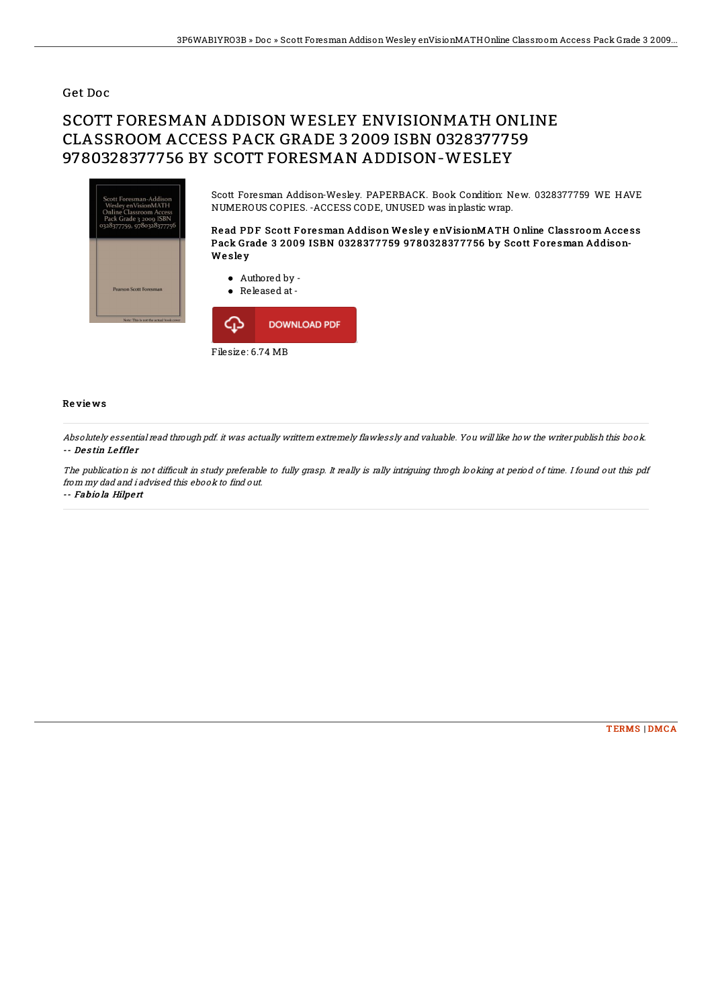## Get Doc

## SCOTT FORESMAN ADDISON WESLEY ENVISIONMATH ONLINE CLASSROOM ACCESS PACK GRADE 3 2009 ISBN 0328377759 9780328377756 BY SCOTT FORESMAN ADDISON-WESLEY



Scott Foresman Addison-Wesley. PAPERBACK. Book Condition: New. 0328377759 WE HAVE NUMEROUS COPIES. -ACCESS CODE, UNUSED was inplastic wrap.

Read PDF Scott Foresman Addison Wesley enVisionMATH Online Classroom Access Pack Grade 3 2009 ISBN 0328377759 9780328377756 by Scott Foresman Addison-**We sley** 

Authored by -



## Re vie ws

Absolutely essential read through pdf. it was actually writtern extremely flawlessly and valuable. You will like how the writer publish this book. -- De s tin Le ffle <sup>r</sup>

The publication is not difficult in study preferable to fully grasp. It really is rally intriguing throgh looking at period of time. I found out this pdf from my dad and i advised this ebook to find out. -- Fabio la Hilpert

[TERMS](http://almighty24.tech/terms.html) | [DMCA](http://almighty24.tech/dmca.html)